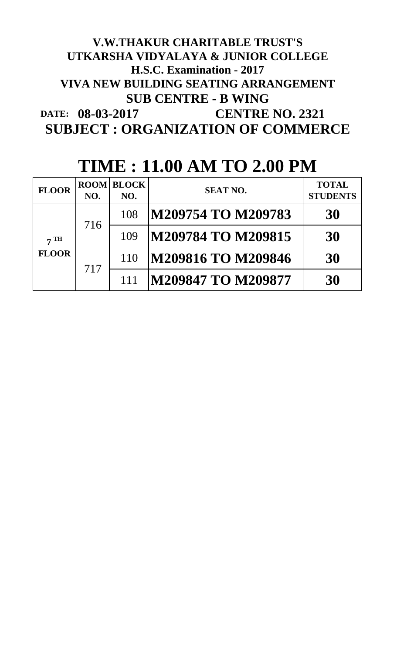# **DATE: 08-03-2017 CENTRE NO. 2321 SUBJECT : ORGANIZATION OF COMMERCE V.W.THAKUR CHARITABLE TRUST'S UTKARSHA VIDYALAYA & JUNIOR COLLEGE H.S.C. Examination - 2017 VIVA NEW BUILDING SEATING ARRANGEMENT SUB CENTRE - B WING**

| <b>FLOOR</b>                            | NO. | <b>ROOM BLOCK</b><br>NO. | <b>SEAT NO.</b>           | <b>TOTAL</b><br><b>STUDENTS</b> |
|-----------------------------------------|-----|--------------------------|---------------------------|---------------------------------|
| $7 \text{ }\mathrm{TH}$<br><b>FLOOR</b> | 716 | 108                      | M209754 TO M209783        | 30                              |
|                                         |     | 109                      | M209784 TO M209815        | 30                              |
|                                         | 717 | 110                      | <b>M209816 TO M209846</b> | 30                              |
|                                         |     | 111                      | <b>M209847 TO M209877</b> | 30                              |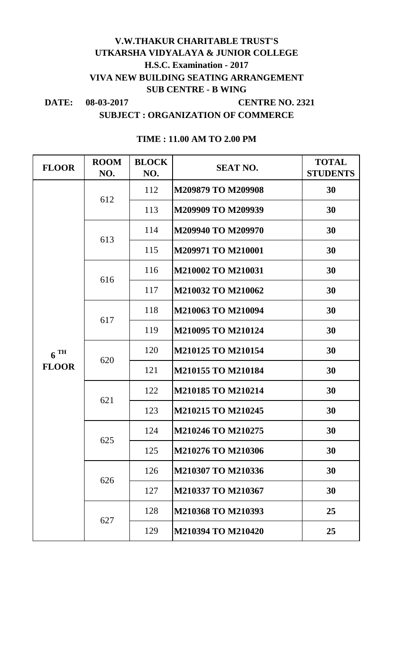# **V.W.THAKUR CHARITABLE TRUST'S UTKARSHA VIDYALAYA & JUNIOR COLLEGE H.S.C. Examination - 2017 VIVA NEW BUILDING SEATING ARRANGEMENT SUB CENTRE - B WING**

DATE: 08-03-2017

**08-03-2017 CENTRE NO. 2321**

**SUBJECT : ORGANIZATION OF COMMERCE**

| <b>FLOOR</b>      | <b>ROOM</b><br>NO. | <b>BLOCK</b><br>NO. | <b>SEAT NO.</b>           | <b>TOTAL</b><br><b>STUDENTS</b> |
|-------------------|--------------------|---------------------|---------------------------|---------------------------------|
|                   | 612                | 112                 | <b>M209879 TO M209908</b> | 30                              |
|                   |                    | 113                 | M209909 TO M209939        | 30                              |
|                   | 613                | 114                 | M209940 TO M209970        | 30                              |
|                   |                    | 115                 | M209971 TO M210001        | 30                              |
|                   | 616                | 116                 | M210002 TO M210031        | 30                              |
|                   |                    | 117                 | M210032 TO M210062        | 30                              |
|                   | 617                | 118                 | M210063 TO M210094        | 30                              |
|                   |                    | 119                 | M210095 TO M210124        | 30                              |
| $6$ <sup>TH</sup> | 620                | 120                 | M210125 TO M210154        | 30                              |
| <b>FLOOR</b>      |                    | 121                 | M210155 TO M210184        | 30                              |
|                   | 621                | 122                 | M210185 TO M210214        | 30                              |
|                   |                    | 123                 | M210215 TO M210245        | 30                              |
|                   | 625                | 124                 | M210246 TO M210275        | 30                              |
|                   |                    | 125                 | M210276 TO M210306        | 30                              |
|                   | 626                | 126                 | M210307 TO M210336        | 30                              |
|                   |                    | 127                 | M210337 TO M210367        | 30                              |
|                   |                    | 128                 | M210368 TO M210393        | 25                              |
|                   | 627                | 129                 | M210394 TO M210420        | 25                              |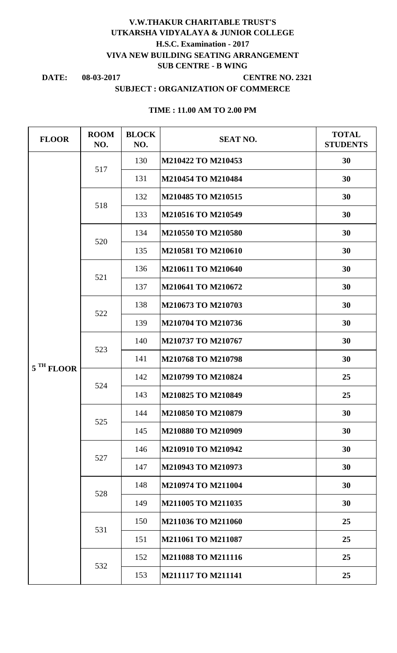## **H.S.C. Examination - 2017 V.W.THAKUR CHARITABLE TRUST'S UTKARSHA VIDYALAYA & JUNIOR COLLEGE VIVA NEW BUILDING SEATING ARRANGEMENT SUB CENTRE - B WING**

**DATE: 08-03-2017**

#### **CENTRE NO. 2321**

#### **SUBJECT : ORGANIZATION OF COMMERCE**

| <b>FLOOR</b> | <b>ROOM</b><br>NO. | <b>BLOCK</b><br>NO. | <b>SEAT NO.</b>    | <b>TOTAL</b><br><b>STUDENTS</b> |
|--------------|--------------------|---------------------|--------------------|---------------------------------|
|              | 517                | 130                 | M210422 TO M210453 | 30                              |
|              |                    | 131                 | M210454 TO M210484 | 30                              |
|              | 518                | 132                 | M210485 TO M210515 | 30                              |
|              |                    | 133                 | M210516 TO M210549 | 30                              |
|              | 520                | 134                 | M210550 TO M210580 | 30                              |
|              |                    | 135                 | M210581 TO M210610 | 30                              |
|              |                    | 136                 | M210611 TO M210640 | 30                              |
|              | 521                | 137                 | M210641 TO M210672 | 30                              |
|              | 522                | 138                 | M210673 TO M210703 | 30                              |
|              |                    | 139                 | M210704 TO M210736 | 30                              |
|              | 523                | 140                 | M210737 TO M210767 | 30                              |
| 5 TH FLOOR   |                    | 141                 | M210768 TO M210798 | 30                              |
|              | 524                | 142                 | M210799 TO M210824 | 25                              |
|              |                    | 143                 | M210825 TO M210849 | 25                              |
|              | 525                | 144                 | M210850 TO M210879 | 30                              |
|              |                    | 145                 | M210880 TO M210909 | 30                              |
|              | 527                | 146                 | M210910 TO M210942 | 30                              |
|              |                    | 147                 | M210943 TO M210973 | 30                              |
|              | 528                | 148                 | M210974 TO M211004 | 30                              |
|              |                    | 149                 | M211005 TO M211035 | 30                              |
|              | 531                | 150                 | M211036 TO M211060 | 25                              |
|              |                    | 151                 | M211061 TO M211087 | 25                              |
|              | 532                | 152                 | M211088 TO M211116 | 25                              |
|              |                    | 153                 | M211117 TO M211141 | 25                              |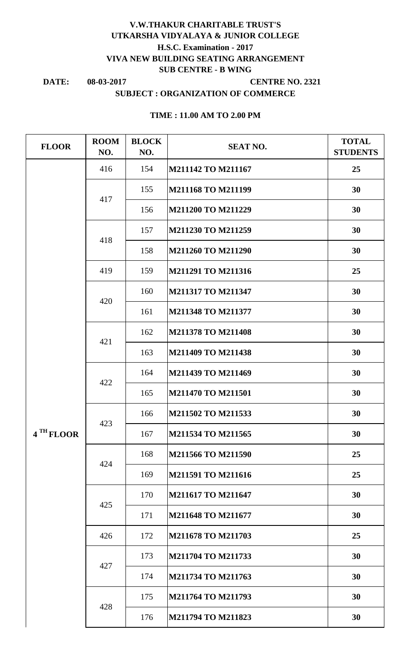# **V.W.THAKUR CHARITABLE TRUST'S UTKARSHA VIDYALAYA & JUNIOR COLLEGE VIVA NEW BUILDING SEATING ARRANGEMENT SUB CENTRE - B WING H.S.C. Examination - 2017**

**DATE:**

#### **08-03-2017 CENTRE NO. 2321**

# **SUBJECT : ORGANIZATION OF COMMERCE**

| <b>FLOOR</b> | <b>ROOM</b><br>NO. | <b>BLOCK</b><br>NO. | <b>SEAT NO.</b>    | <b>TOTAL</b><br><b>STUDENTS</b> |
|--------------|--------------------|---------------------|--------------------|---------------------------------|
|              | 416                | 154                 | M211142 TO M211167 | 25                              |
|              | 417                | 155                 | M211168 TO M211199 | 30                              |
|              |                    | 156                 | M211200 TO M211229 | 30                              |
|              | 418                | 157                 | M211230 TO M211259 | 30                              |
|              |                    | 158                 | M211260 TO M211290 | 30                              |
|              | 419                | 159                 | M211291 TO M211316 | 25                              |
|              | 420                | 160                 | M211317 TO M211347 | 30                              |
|              |                    | 161                 | M211348 TO M211377 | 30                              |
|              | 421                | 162                 | M211378 TO M211408 | 30                              |
|              |                    | 163                 | M211409 TO M211438 | 30                              |
|              | 422                | 164                 | M211439 TO M211469 | 30                              |
|              |                    | 165                 | M211470 TO M211501 | 30                              |
|              | 423                | 166                 | M211502 TO M211533 | 30                              |
| 4 TH FLOOR   |                    | 167                 | M211534 TO M211565 | 30                              |
|              | 424                | 168                 | M211566 TO M211590 | 25                              |
|              |                    | 169                 | M211591 TO M211616 | 25                              |
|              | 425                | 170                 | M211617 TO M211647 | 30                              |
|              |                    | 171                 | M211648 TO M211677 | 30                              |
|              | 426                | 172                 | M211678 TO M211703 | 25                              |
|              | 427                | 173                 | M211704 TO M211733 | 30                              |
|              |                    | 174                 | M211734 TO M211763 | 30                              |
|              | 428                | 175                 | M211764 TO M211793 | 30                              |
|              |                    | 176                 | M211794 TO M211823 | 30                              |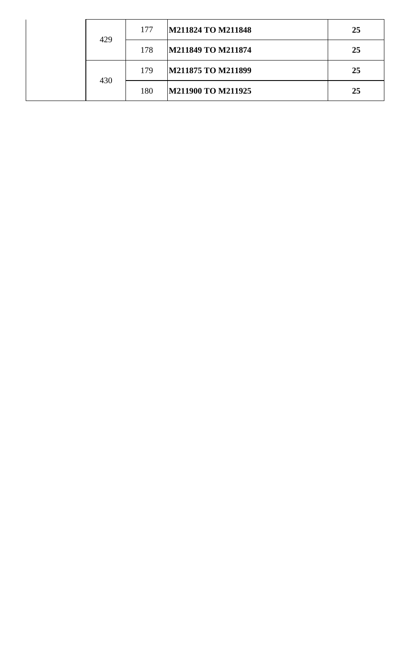|  | 429 | 177 | M211824 TO M211848 | 25 |
|--|-----|-----|--------------------|----|
|  |     | 178 | M211849 TO M211874 | 25 |
|  | 430 | 179 | M211875 TO M211899 | 25 |
|  |     | 180 | M211900 TO M211925 | 25 |